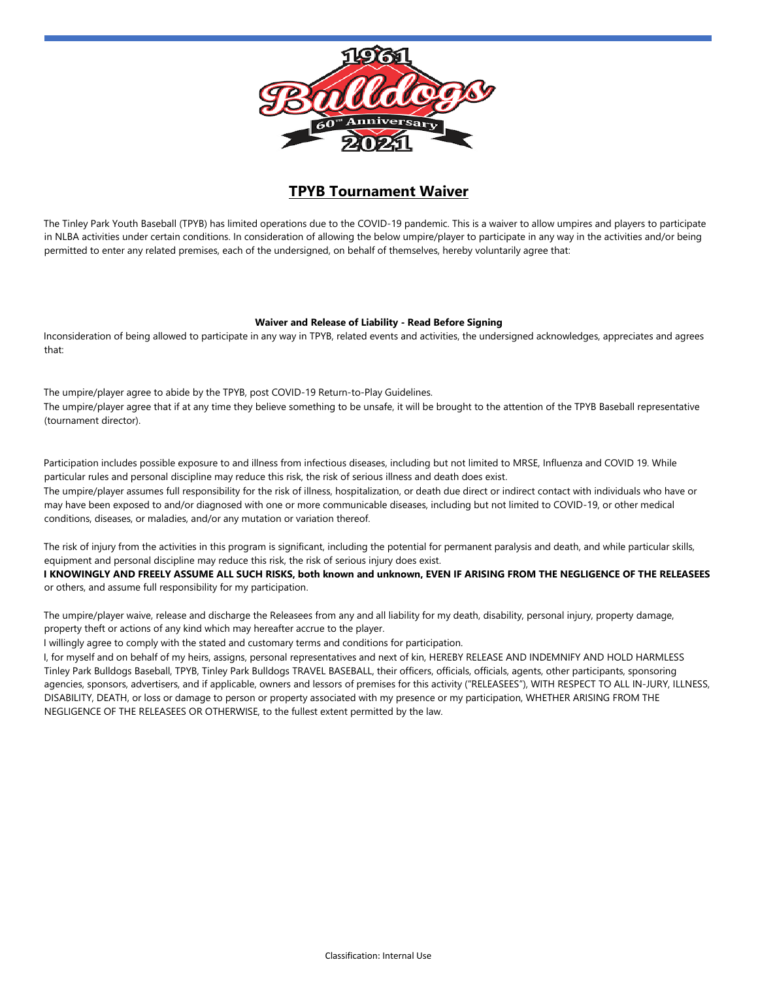

## **TPYB Tournament Waiver**

The Tinley Park Youth Baseball (TPYB) has limited operations due to the COVID-19 pandemic. This is a waiver to allow umpires and players to participate in NLBA activities under certain conditions. In consideration of allowing the below umpire/player to participate in any way in the activities and/or being permitted to enter any related premises, each of the undersigned, on behalf of themselves, hereby voluntarily agree that:

## **Waiver and Release of Liability - Read Before Signing**

Inconsideration of being allowed to participate in any way in TPYB, related events and activities, the undersigned acknowledges, appreciates and agrees that:

The umpire/player agree to abide by the TPYB, post COVID-19 Return-to-Play Guidelines. The umpire/player agree that if at any time they believe something to be unsafe, it will be brought to the attention of the TPYB Baseball representative (tournament director).

Participation includes possible exposure to and illness from infectious diseases, including but not limited to MRSE, Influenza and COVID 19. While particular rules and personal discipline may reduce this risk, the risk of serious illness and death does exist.

The umpire/player assumes full responsibility for the risk of illness, hospitalization, or death due direct or indirect contact with individuals who have or may have been exposed to and/or diagnosed with one or more communicable diseases, including but not limited to COVID-19, or other medical conditions, diseases, or maladies, and/or any mutation or variation thereof.

The risk of injury from the activities in this program is significant, including the potential for permanent paralysis and death, and while particular skills, equipment and personal discipline may reduce this risk, the risk of serious injury does exist.

**I KNOWINGLY AND FREELY ASSUME ALL SUCH RISKS, both known and unknown, EVEN IF ARISING FROM THE NEGLIGENCE OF THE RELEASEES** or others, and assume full responsibility for my participation.

The umpire/player waive, release and discharge the Releasees from any and all liability for my death, disability, personal injury, property damage, property theft or actions of any kind which may hereafter accrue to the player.

I willingly agree to comply with the stated and customary terms and conditions for participation.

I, for myself and on behalf of my heirs, assigns, personal representatives and next of kin, HEREBY RELEASE AND INDEMNIFY AND HOLD HARMLESS Tinley Park Bulldogs Baseball, TPYB, Tinley Park Bulldogs TRAVEL BASEBALL, their officers, officials, officials, agents, other participants, sponsoring agencies, sponsors, advertisers, and if applicable, owners and lessors of premises for this activity ("RELEASEES"), WITH RESPECT TO ALL IN-JURY, ILLNESS, DISABILITY, DEATH, or loss or damage to person or property associated with my presence or my participation, WHETHER ARISING FROM THE NEGLIGENCE OF THE RELEASEES OR OTHERWISE, to the fullest extent permitted by the law.